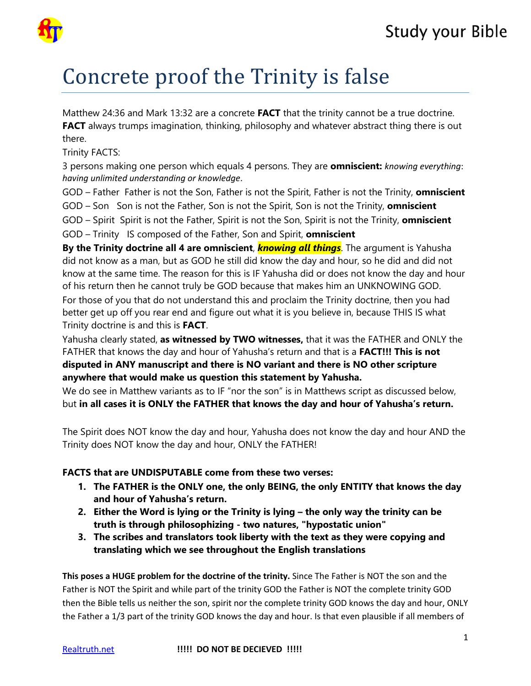

## Concrete proof the Trinity is false

Matthew 24:36 and Mark 13:32 are a concrete **FACT** that the trinity cannot be a true doctrine. **FACT** always trumps imagination, thinking, philosophy and whatever abstract thing there is out there.

Trinity FACTS:

3 persons making one person which equals 4 persons. They are **omniscient:** *knowing everything*: *having unlimited understanding or knowledge*.

GOD – Father Father is not the Son, Father is not the Spirit, Father is not the Trinity, **omniscient** 

GOD – Son Son is not the Father, Son is not the Spirit, Son is not the Trinity, **omniscient**

GOD – Spirit Spirit is not the Father, Spirit is not the Son, Spirit is not the Trinity, **omniscient**

GOD – Trinity IS composed of the Father, Son and Spirit, **omniscient**

**By the Trinity doctrine all 4 are omniscient**, *knowing all things*. The argument is Yahusha did not know as a man, but as GOD he still did know the day and hour, so he did and did not know at the same time. The reason for this is IF Yahusha did or does not know the day and hour of his return then he cannot truly be GOD because that makes him an UNKNOWING GOD.

For those of you that do not understand this and proclaim the Trinity doctrine, then you had better get up off you rear end and figure out what it is you believe in, because THIS IS what Trinity doctrine is and this is **FACT**.

Yahusha clearly stated, **as witnessed by TWO witnesses,** that it was the FATHER and ONLY the FATHER that knows the day and hour of Yahusha's return and that is a **FACT!!! This is not disputed in ANY manuscript and there is NO variant and there is NO other scripture anywhere that would make us question this statement by Yahusha.** 

We do see in Matthew variants as to IF "nor the son" is in Matthews script as discussed below, but **in all cases it is ONLY the FATHER that knows the day and hour of Yahusha's return.**

The Spirit does NOT know the day and hour, Yahusha does not know the day and hour AND the Trinity does NOT know the day and hour, ONLY the FATHER!

## **FACTS that are UNDISPUTABLE come from these two verses:**

- **1. The FATHER is the ONLY one, the only BEING, the only ENTITY that knows the day and hour of Yahusha's return.**
- **2. Either the Word is lying or the Trinity is lying the only way the trinity can be truth is through philosophizing - two natures, "hypostatic union"**
- **3. The scribes and translators took liberty with the text as they were copying and translating which we see throughout the English translations**

**This poses a HUGE problem for the doctrine of the trinity.** Since The Father is NOT the son and the Father is NOT the Spirit and while part of the trinity GOD the Father is NOT the complete trinity GOD then the Bible tells us neither the son, spirit nor the complete trinity GOD knows the day and hour, ONLY the Father a 1/3 part of the trinity GOD knows the day and hour. Is that even plausible if all members of